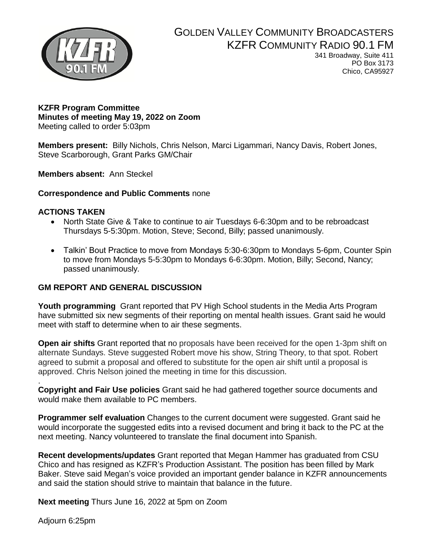

# GOLDEN VALLEY COMMUNITY BROADCASTERS KZFR COMMUNITY RADIO 90.1 FM

341 Broadway, Suite 411 PO Box 3173 Chico, CA95927

#### **KZFR Program Committee Minutes of meeting May 19, 2022 on Zoom**  Meeting called to order 5:03pm

**Members present:** Billy Nichols, Chris Nelson, Marci Ligammari, Nancy Davis, Robert Jones, Steve Scarborough, Grant Parks GM/Chair

**Members absent:** Ann Steckel

#### **Correspondence and Public Comments** none

#### **ACTIONS TAKEN**

- North State Give & Take to continue to air Tuesdays 6-6:30pm and to be rebroadcast Thursdays 5-5:30pm. Motion, Steve; Second, Billy; passed unanimously.
- Talkin' Bout Practice to move from Mondays 5:30-6:30pm to Mondays 5-6pm, Counter Spin to move from Mondays 5-5:30pm to Mondays 6-6:30pm. Motion, Billy; Second, Nancy; passed unanimously.

### **GM REPORT AND GENERAL DISCUSSION**

**Youth programming** Grant reported that PV High School students in the Media Arts Program have submitted six new segments of their reporting on mental health issues. Grant said he would meet with staff to determine when to air these segments.

**Open air shifts** Grant reported that no proposals have been received for the open 1-3pm shift on alternate Sundays. Steve suggested Robert move his show, String Theory, to that spot. Robert agreed to submit a proposal and offered to substitute for the open air shift until a proposal is approved. Chris Nelson joined the meeting in time for this discussion.

. **Copyright and Fair Use policies** Grant said he had gathered together source documents and would make them available to PC members.

**Programmer self evaluation** Changes to the current document were suggested. Grant said he would incorporate the suggested edits into a revised document and bring it back to the PC at the next meeting. Nancy volunteered to translate the final document into Spanish.

**Recent developments/updates** Grant reported that Megan Hammer has graduated from CSU Chico and has resigned as KZFR's Production Assistant. The position has been filled by Mark Baker. Steve said Megan's voice provided an important gender balance in KZFR announcements and said the station should strive to maintain that balance in the future.

**Next meeting** Thurs June 16, 2022 at 5pm on Zoom